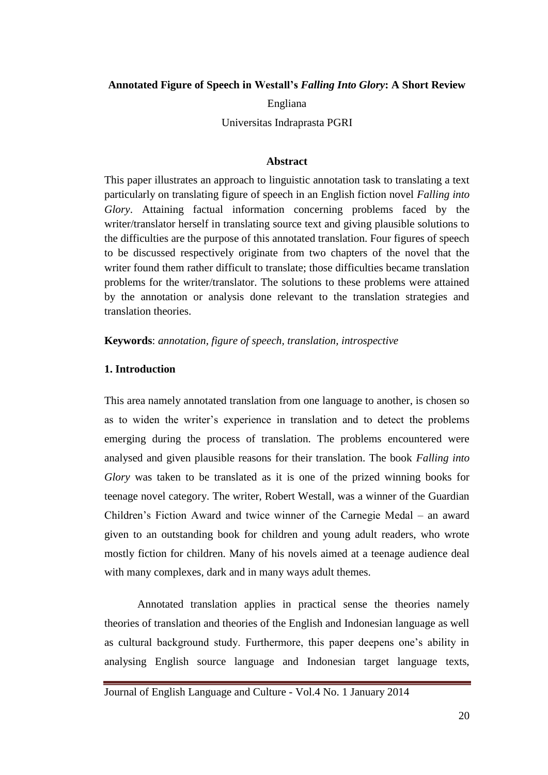#### **Annotated Figure of Speech in Westall's** *Falling Into Glory***: A Short Review**

Engliana

Universitas Indraprasta PGRI

#### **Abstract**

This paper illustrates an approach to linguistic annotation task to translating a text particularly on translating figure of speech in an English fiction novel *Falling into Glory*. Attaining factual information concerning problems faced by the writer/translator herself in translating source text and giving plausible solutions to the difficulties are the purpose of this annotated translation. Four figures of speech to be discussed respectively originate from two chapters of the novel that the writer found them rather difficult to translate; those difficulties became translation problems for the writer/translator. The solutions to these problems were attained by the annotation or analysis done relevant to the translation strategies and translation theories.

**Keywords**: *annotation, figure of speech, translation, introspective*

### **1. Introduction**

This area namely annotated translation from one language to another, is chosen so as to widen the writer's experience in translation and to detect the problems emerging during the process of translation. The problems encountered were analysed and given plausible reasons for their translation. The book *Falling into Glory* was taken to be translated as it is one of the prized winning books for teenage novel category. The writer, Robert Westall, was a winner of the Guardian Children's Fiction Award and twice winner of the Carnegie Medal – an award given to an outstanding book for children and young adult readers, who wrote mostly fiction for children. Many of his novels aimed at a teenage audience deal with many complexes, dark and in many ways adult themes.

Annotated translation applies in practical sense the theories namely theories of translation and theories of the English and Indonesian language as well as cultural background study. Furthermore, this paper deepens one's ability in analysing English source language and Indonesian target language texts,

Journal of English Language and Culture - Vol.4 No. 1 January 2014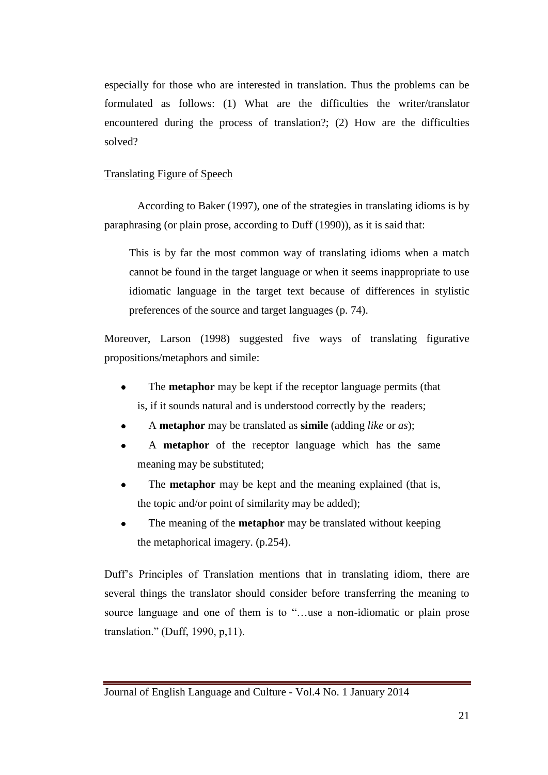especially for those who are interested in translation. Thus the problems can be formulated as follows: (1) What are the difficulties the writer/translator encountered during the process of translation?; (2) How are the difficulties solved?

#### Translating Figure of Speech

According to Baker (1997), one of the strategies in translating idioms is by paraphrasing (or plain prose, according to Duff (1990)), as it is said that:

This is by far the most common way of translating idioms when a match cannot be found in the target language or when it seems inappropriate to use idiomatic language in the target text because of differences in stylistic preferences of the source and target languages (p. 74).

Moreover, Larson (1998) suggested five ways of translating figurative propositions/metaphors and simile:

- The **metaphor** may be kept if the receptor language permits (that is, if it sounds natural and is understood correctly by the readers;
- A **metaphor** may be translated as **simile** (adding *like* or *as*);
- A **metaphor** of the receptor language which has the same meaning may be substituted;
- The **metaphor** may be kept and the meaning explained (that is, the topic and/or point of similarity may be added);
- The meaning of the **metaphor** may be translated without keeping the metaphorical imagery. (p.254).

Duff's Principles of Translation mentions that in translating idiom, there are several things the translator should consider before transferring the meaning to source language and one of them is to "...use a non-idiomatic or plain prose translation." (Duff, 1990,  $p$ , 11).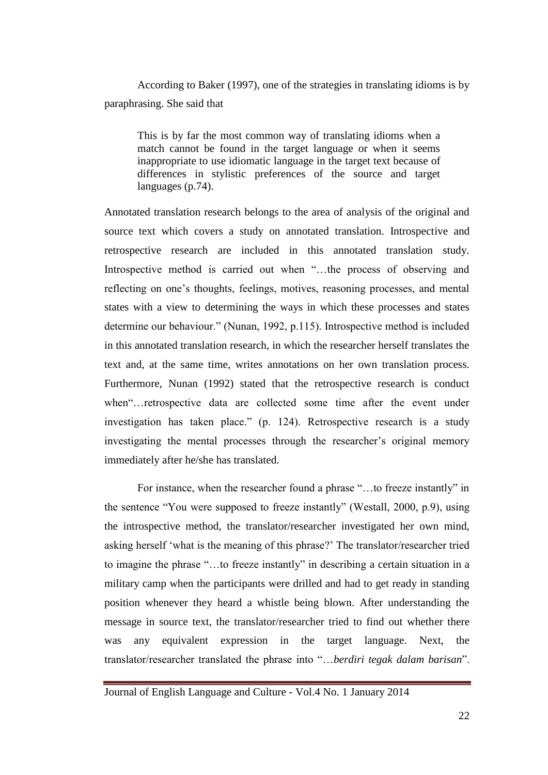According to Baker (1997), one of the strategies in translating idioms is by paraphrasing. She said that

This is by far the most common way of translating idioms when a match cannot be found in the target language or when it seems inappropriate to use idiomatic language in the target text because of differences in stylistic preferences of the source and target languages (p.74).

Annotated translation research belongs to the area of analysis of the original and source text which covers a study on annotated translation. Introspective and retrospective research are included in this annotated translation study. Introspective method is carried out when "...the process of observing and reflecting on one's thoughts, feelings, motives, reasoning processes, and mental states with a view to determining the ways in which these processes and states determine our behaviour." (Nunan, 1992, p.115). Introspective method is included in this annotated translation research, in which the researcher herself translates the text and, at the same time, writes annotations on her own translation process. Furthermore, Nunan (1992) stated that the retrospective research is conduct when "... retrospective data are collected some time after the event under investigation has taken place." (p. 124). Retrospective research is a study investigating the mental processes through the researcher's original memory immediately after he/she has translated.

For instance, when the researcher found a phrase "...to freeze instantly" in the sentence "You were supposed to freeze instantly" (Westall, 2000, p.9), using the introspective method, the translator/researcher investigated her own mind, asking herself ‗what is the meaning of this phrase?' The translator/researcher tried to imagine the phrase "...to freeze instantly" in describing a certain situation in a military camp when the participants were drilled and had to get ready in standing position whenever they heard a whistle being blown. After understanding the message in source text, the translator/researcher tried to find out whether there was any equivalent expression in the target language. Next, the translator/researcher translated the phrase into "...berdiri tegak dalam barisan".

Journal of English Language and Culture - Vol.4 No. 1 January 2014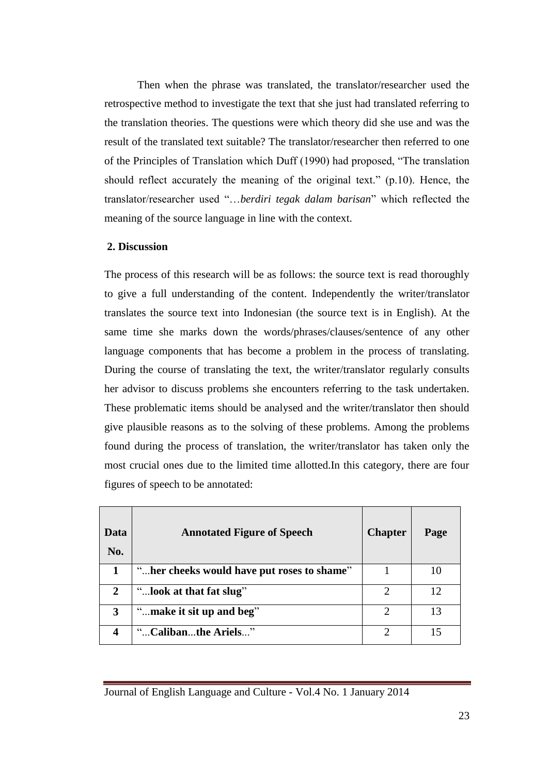Then when the phrase was translated, the translator/researcher used the retrospective method to investigate the text that she just had translated referring to the translation theories. The questions were which theory did she use and was the result of the translated text suitable? The translator/researcher then referred to one of the Principles of Translation which Duff (1990) had proposed, "The translation should reflect accurately the meaning of the original text."  $(p.10)$ . Hence, the translator/researcher used "...berdiri tegak dalam barisan" which reflected the meaning of the source language in line with the context.

### **2. Discussion**

The process of this research will be as follows: the source text is read thoroughly to give a full understanding of the content. Independently the writer/translator translates the source text into Indonesian (the source text is in English). At the same time she marks down the words/phrases/clauses/sentence of any other language components that has become a problem in the process of translating. During the course of translating the text, the writer/translator regularly consults her advisor to discuss problems she encounters referring to the task undertaken. These problematic items should be analysed and the writer/translator then should give plausible reasons as to the solving of these problems. Among the problems found during the process of translation, the writer/translator has taken only the most crucial ones due to the limited time allotted.In this category, there are four figures of speech to be annotated:

| Data<br>No. | <b>Annotated Figure of Speech</b>          | <b>Chapter</b>        | Page |
|-------------|--------------------------------------------|-----------------------|------|
| 1           | "her cheeks would have put roses to shame" |                       | 10   |
| 2           | "look at that fat slug"                    | റ                     | 12   |
| 3           | "make it sit up and beg"                   | $\mathcal{D}_{\cdot}$ | 13   |
|             | "Calibanthe Ariels"                        |                       | 15   |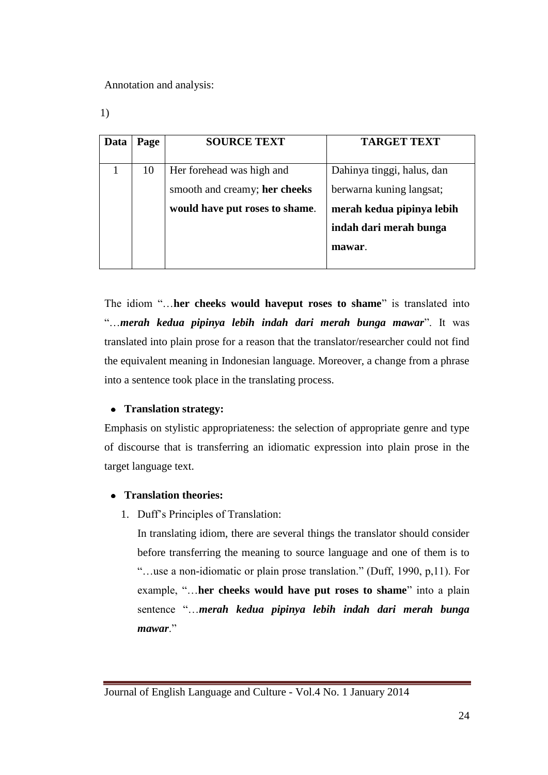Annotation and analysis:

1)

| Data | Page | <b>SOURCE TEXT</b>             | <b>TARGET TEXT</b>         |
|------|------|--------------------------------|----------------------------|
|      |      |                                |                            |
|      | 10   | Her forehead was high and      | Dahinya tinggi, halus, dan |
|      |      | smooth and creamy; her cheeks  | berwarna kuning langsat;   |
|      |      | would have put roses to shame. | merah kedua pipinya lebih  |
|      |      |                                | indah dari merah bunga     |
|      |      |                                | mawar.                     |
|      |      |                                |                            |

The idiom "...her cheeks would haveput roses to shame" is translated into ―…*merah kedua pipinya lebih indah dari merah bunga mawar*‖. It was translated into plain prose for a reason that the translator/researcher could not find the equivalent meaning in Indonesian language. Moreover, a change from a phrase into a sentence took place in the translating process.

# **Translation strategy:**

Emphasis on stylistic appropriateness: the selection of appropriate genre and type of discourse that is transferring an idiomatic expression into plain prose in the target language text.

## **Translation theories:**

1. Duff's Principles of Translation:

In translating idiom, there are several things the translator should consider before transferring the meaning to source language and one of them is to ―…use a non-idiomatic or plain prose translation.‖ (Duff, 1990, p,11). For example, "...her cheeks would have put roses to shame" into a plain sentence "...*merah kedua pipinya lebih indah dari merah bunga* mawar."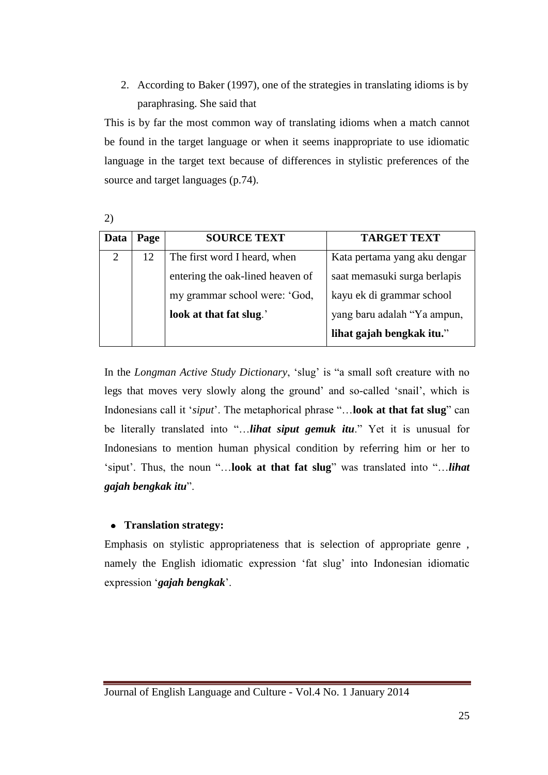2. According to Baker (1997), one of the strategies in translating idioms is by paraphrasing. She said that

This is by far the most common way of translating idioms when a match cannot be found in the target language or when it seems inappropriate to use idiomatic language in the target text because of differences in stylistic preferences of the source and target languages (p.74).

2)

| Data           | Page | <b>SOURCE TEXT</b>               | <b>TARGET TEXT</b>           |
|----------------|------|----------------------------------|------------------------------|
| $\overline{2}$ | 12   | The first word I heard, when     | Kata pertama yang aku dengar |
|                |      | entering the oak-lined heaven of | saat memasuki surga berlapis |
|                |      | my grammar school were: 'God,    | kayu ek di grammar school    |
|                |      | look at that fat slug.'          | yang baru adalah "Ya ampun,  |
|                |      |                                  | lihat gajah bengkak itu."    |

In the *Longman Active Study Dictionary*, 'slug' is "a small soft creature with no legs that moves very slowly along the ground' and so-called 'snail', which is Indonesians call it '*siput*'. The metaphorical phrase "...look at that fat slug" can be literally translated into "...*lihat siput gemuk itu*." Yet it is unusual for Indonesians to mention human physical condition by referring him or her to 'siput'. Thus, the noun "...look at that fat slug" was translated into "...*lihat gajah bengkak itu*‖.

## **Translation strategy:**

Emphasis on stylistic appropriateness that is selection of appropriate genre , namely the English idiomatic expression 'fat slug' into Indonesian idiomatic expression ‗*gajah bengkak*'.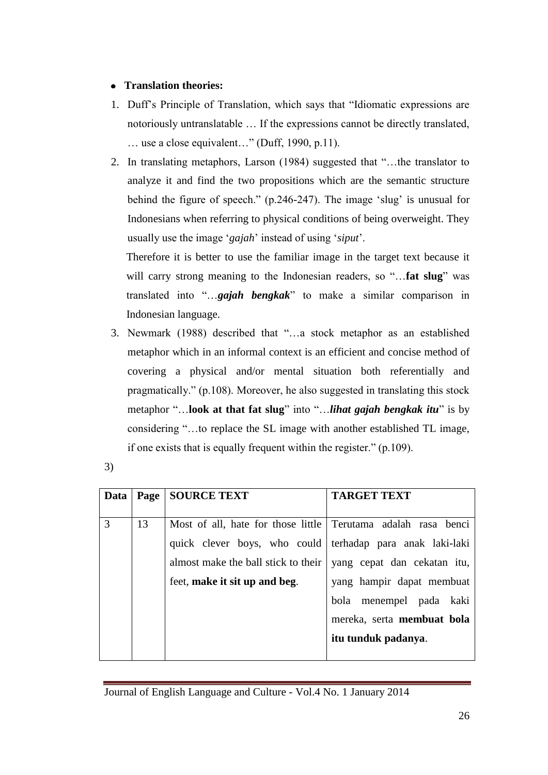# **Translation theories:**

- 1. Duff's Principle of Translation, which says that "Idiomatic expressions are notoriously untranslatable … If the expressions cannot be directly translated,  $\ldots$  use a close equivalent..." (Duff, 1990, p.11).
- 2. In translating metaphors, Larson (1984) suggested that "...the translator to analyze it and find the two propositions which are the semantic structure behind the figure of speech." (p.246-247). The image 'slug' is unusual for Indonesians when referring to physical conditions of being overweight. They usually use the image ‗*gajah*' instead of using ‗*siput*'.

Therefore it is better to use the familiar image in the target text because it will carry strong meaning to the Indonesian readers, so "...**fat slug**" was translated into "...gajah bengkak" to make a similar comparison in Indonesian language.

- 3. Newmark (1988) described that "...a stock metaphor as an established metaphor which in an informal context is an efficient and concise method of covering a physical and/or mental situation both referentially and pragmatically.‖ (p.108). Moreover, he also suggested in translating this stock metaphor "...look at that fat slug" into "...*lihat gajah bengkak itu*" is by considering "...to replace the SL image with another established TL image, if one exists that is equally frequent within the register."  $(p.109)$ .
- 3)

| Data | Page | <b>SOURCE TEXT</b>                                            | <b>TARGET TEXT</b>                |
|------|------|---------------------------------------------------------------|-----------------------------------|
| 3    | 13   | Most of all, hate for those little Terutama adalah rasa benci |                                   |
|      |      | quick clever boys, who could terhadap para anak laki-laki     |                                   |
|      |      | almost make the ball stick to their                           | yang cepat dan cekatan itu,       |
|      |      | feet, make it sit up and beg.                                 | yang hampir dapat membuat         |
|      |      |                                                               | bola menempel pada kaki           |
|      |      |                                                               | mereka, serta <b>membuat</b> bola |
|      |      |                                                               | itu tunduk padanya.               |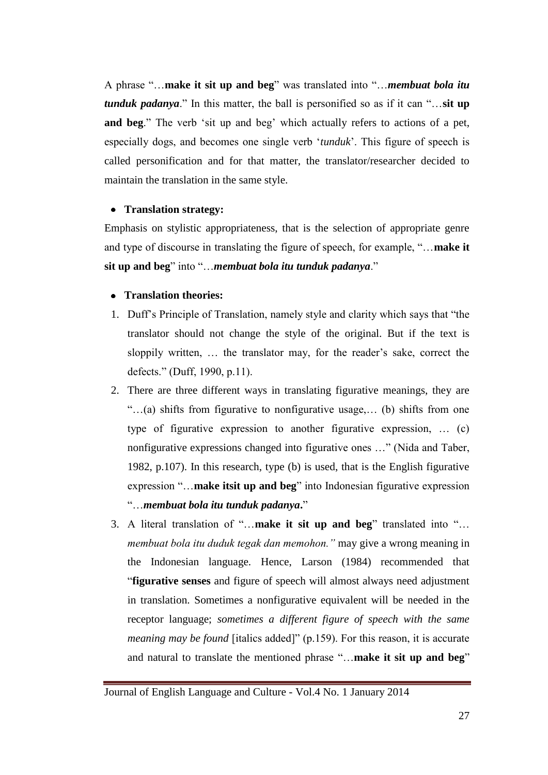A phrase "...make it sit up and beg" was translated into "...*membuat bola itu tunduk padanya*." In this matter, the ball is personified so as if it can "...sit up **and beg**." The verb 'sit up and beg' which actually refers to actions of a pet, especially dogs, and becomes one single verb 'tunduk'. This figure of speech is called personification and for that matter, the translator/researcher decided to maintain the translation in the same style.

## **Translation strategy:**

Emphasis on stylistic appropriateness, that is the selection of appropriate genre and type of discourse in translating the figure of speech, for example, "...make it sit up and beg" into "...*membuat bola itu tunduk padanya*."

## **Translation theories:**

- 1. Duff's Principle of Translation, namely style and clarity which says that "the translator should not change the style of the original. But if the text is sloppily written, … the translator may, for the reader's sake, correct the defects." (Duff, 1990, p.11).
- 2. There are three different ways in translating figurative meanings, they are ―…(a) shifts from figurative to nonfigurative usage,… (b) shifts from one type of figurative expression to another figurative expression, … (c) nonfigurative expressions changed into figurative ones ..." (Nida and Taber, 1982, p.107). In this research, type (b) is used, that is the English figurative expression "...make itsit up and beg" into Indonesian figurative expression ―…*membuat bola itu tunduk padanya***.**‖
- 3. A literal translation of "...make it sit up and beg" translated into "... *membuat bola itu duduk tegak dan memohon."* may give a wrong meaning in the Indonesian language. Hence, Larson (1984) recommended that ―**figurative senses** and figure of speech will almost always need adjustment in translation. Sometimes a nonfigurative equivalent will be needed in the receptor language; *sometimes a different figure of speech with the same meaning may be found* [italics added]" (p.159). For this reason, it is accurate and natural to translate the mentioned phrase "...make it sit up and beg"

Journal of English Language and Culture - Vol.4 No. 1 January 2014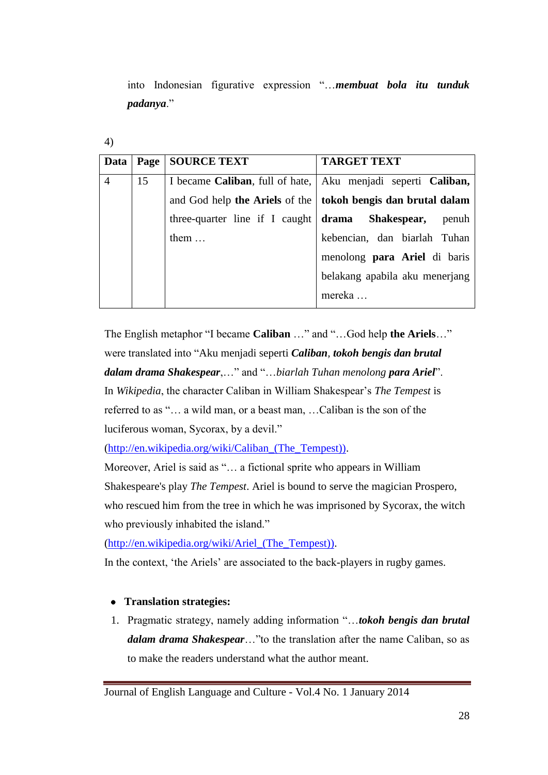into Indonesian figurative expression ―…*membuat bola itu tunduk*  padanya."

| Data           | Page | <b>SOURCE TEXT</b>             | <b>TARGET TEXT</b>                                             |
|----------------|------|--------------------------------|----------------------------------------------------------------|
| $\overline{4}$ | 15   |                                | I became Caliban, full of hate,   Aku menjadi seperti Caliban, |
|                |      |                                | and God help the Ariels of the   tokoh bengis dan brutal dalam |
|                |      | three-quarter line if I caught | drama Shakespear,<br>penuh                                     |
|                |      | them $\dots$                   | kebencian, dan biarlah Tuhan                                   |
|                |      |                                | menolong para Ariel di baris                                   |
|                |      |                                | belakang apabila aku menerjang                                 |
|                |      |                                | mereka                                                         |

The English metaphor "I became **Caliban** ..." and "...God help **the Ariels**..." were translated into "Aku menjadi seperti *Caliban, tokoh bengis dan brutal dalam drama Shakespear,...*" and "...biarlah Tuhan menolong para Ariel". In *Wikipedia*, the character Caliban in William Shakespear's *The Tempest* is referred to as "... a wild man, or a beast man, ... Caliban is the son of the luciferous woman, Sycorax, by a devil."

[\(http://en.wikipedia.org/wiki/Caliban\\_\(The\\_Tempest\)\).](http://en.wikipedia.org/wiki/Caliban_(The_Tempest)))

Moreover, Ariel is said as "... a fictional sprite who appears in William Shakespeare's play *The Tempest*. Ariel is bound to serve the magician Prospero, who rescued him from the tree in which he was imprisoned by Sycorax, the witch who previously inhabited the island."

[\(http://en.wikipedia.org/wiki/Ariel\\_\(The\\_Tempest\)\).](http://en.wikipedia.org/wiki/Ariel_(The_Tempest)))

In the context, 'the Ariels' are associated to the back-players in rugby games.

# **Translation strategies:**

1. Pragmatic strategy, namely adding information ―…*tokoh bengis dan brutal dalam drama Shakespear*…"to the translation after the name Caliban, so as to make the readers understand what the author meant.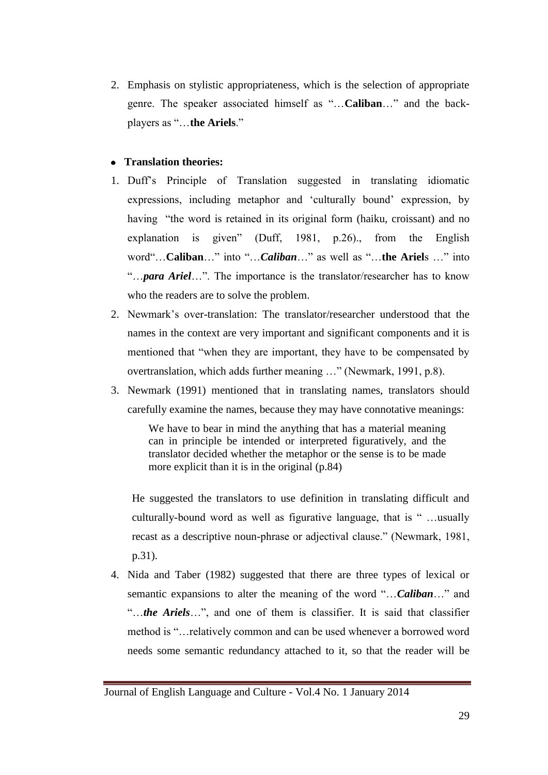2. Emphasis on stylistic appropriateness, which is the selection of appropriate genre. The speaker associated himself as "...Caliban..." and the backplayers as "...the Ariels."

## **Translation theories:**

- 1. Duff's Principle of Translation suggested in translating idiomatic expressions, including metaphor and 'culturally bound' expression, by having "the word is retained in its original form (haiku, croissant) and no explanation is given" (Duff, 1981, p.26)., from the English word"...Caliban..." into "...*Caliban*..." as well as "...the Ariels ..." into ―…*para Ariel*…‖. The importance is the translator/researcher has to know who the readers are to solve the problem.
- 2. Newmark's over-translation: The translator/researcher understood that the names in the context are very important and significant components and it is mentioned that "when they are important, they have to be compensated by overtranslation, which adds further meaning ..." (Newmark, 1991, p.8).
- 3. Newmark (1991) mentioned that in translating names, translators should carefully examine the names, because they may have connotative meanings:

We have to bear in mind the anything that has a material meaning can in principle be intended or interpreted figuratively, and the translator decided whether the metaphor or the sense is to be made more explicit than it is in the original (p.84)

He suggested the translators to use definition in translating difficult and culturally-bound word as well as figurative language, that is " …usually recast as a descriptive noun-phrase or adjectival clause." (Newmark, 1981, p.31).

4. Nida and Taber (1982) suggested that there are three types of lexical or semantic expansions to alter the meaning of the word "...*Caliban*..." and "...the Ariels...", and one of them is classifier. It is said that classifier method is "...relatively common and can be used whenever a borrowed word needs some semantic redundancy attached to it, so that the reader will be

Journal of English Language and Culture - Vol.4 No. 1 January 2014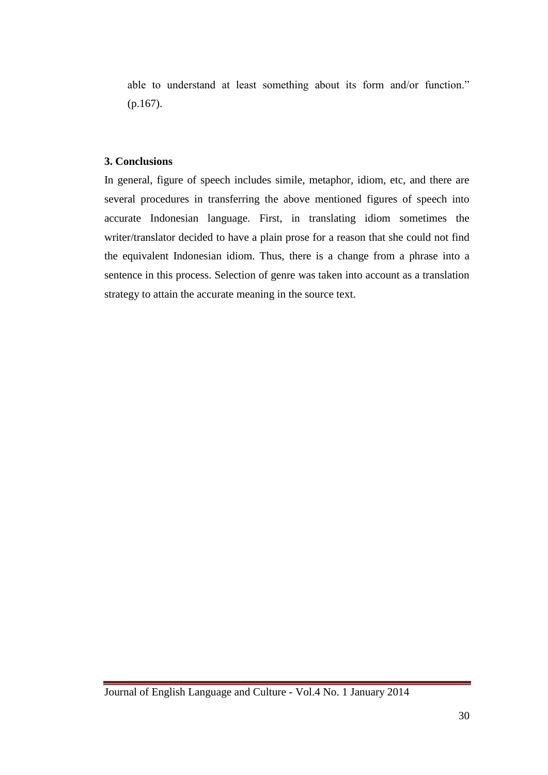able to understand at least something about its form and/or function." (p.167).

### **3. Conclusions**

In general, figure of speech includes simile, metaphor, idiom, etc, and there are several procedures in transferring the above mentioned figures of speech into accurate Indonesian language. First, in translating idiom sometimes the writer/translator decided to have a plain prose for a reason that she could not find the equivalent Indonesian idiom. Thus, there is a change from a phrase into a sentence in this process. Selection of genre was taken into account as a translation strategy to attain the accurate meaning in the source text.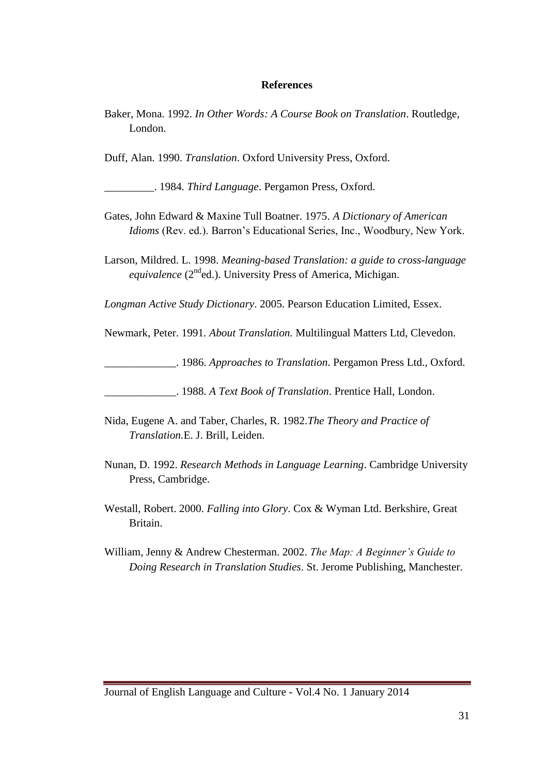#### **References**

Baker, Mona. 1992. *In Other Words: A Course Book on Translation*. Routledge, London.

Duff, Alan. 1990. *Translation*. Oxford University Press, Oxford.

\_\_\_\_\_\_\_\_\_. 1984. *Third Language*. Pergamon Press, Oxford.

- Gates, John Edward & Maxine Tull Boatner. 1975. *A Dictionary of American Idioms* (Rev. ed.). Barron's Educational Series, Inc., Woodbury, New York.
- Larson, Mildred. L. 1998. *Meaning-based Translation: a guide to cross-language equivalence* (2<sup>nd</sup>ed.). University Press of America, Michigan.

*Longman Active Study Dictionary*. 2005. Pearson Education Limited, Essex.

Newmark, Peter. 1991*. About Translation.* Multilingual Matters Ltd, Clevedon.

\_\_\_\_\_\_\_\_\_\_\_\_\_. 1986. *Approaches to Translation*. Pergamon Press Ltd., Oxford.

\_\_\_\_\_\_\_\_\_\_\_\_\_. 1988. *A Text Book of Translation*. Prentice Hall, London.

- Nida, Eugene A. and Taber, Charles, R. 1982.*The Theory and Practice of Translation.*E. J. Brill, Leiden.
- Nunan, D. 1992. *Research Methods in Language Learning*. Cambridge University Press, Cambridge.
- Westall, Robert. 2000. *Falling into Glory*. Cox & Wyman Ltd. Berkshire, Great Britain.
- William, Jenny & Andrew Chesterman. 2002. *The Map: A Beginner"s Guide to Doing Research in Translation Studies*. St. Jerome Publishing, Manchester.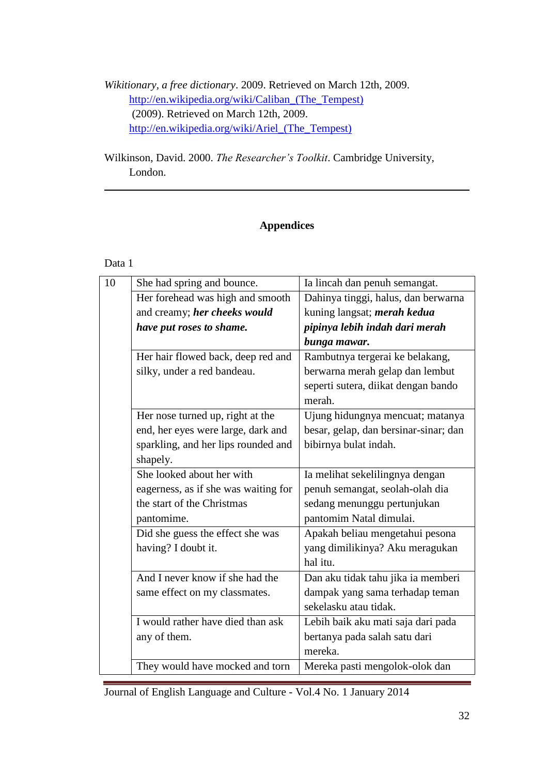*Wikitionary, a free dictionary*. 2009. Retrieved on March 12th, 2009. [http://en.wikipedia.org/wiki/Caliban\\_\(The\\_Tempest\)](http://en.wikipedia.org/wiki/Caliban_(The_Tempest)) (2009). Retrieved on March 12th, 2009. [http://en.wikipedia.org/wiki/Ariel\\_\(The\\_Tempest\)](http://en.wikipedia.org/wiki/Ariel_(The_Tempest))

Wilkinson, David. 2000. *The Researcher"s Toolkit*. Cambridge University, London.

## **Appendices**

## Data 1

| 10 | She had spring and bounce.           | Ia lincah dan penuh semangat.         |
|----|--------------------------------------|---------------------------------------|
|    | Her forehead was high and smooth     | Dahinya tinggi, halus, dan berwarna   |
|    | and creamy; her cheeks would         | kuning langsat; <i>merah kedua</i>    |
|    | have put roses to shame.             | pipinya lebih indah dari merah        |
|    |                                      | bunga mawar.                          |
|    | Her hair flowed back, deep red and   | Rambutnya tergerai ke belakang,       |
|    | silky, under a red bandeau.          | berwarna merah gelap dan lembut       |
|    |                                      | seperti sutera, diikat dengan bando   |
|    |                                      | merah.                                |
|    | Her nose turned up, right at the     | Ujung hidungnya mencuat; matanya      |
|    | end, her eyes were large, dark and   | besar, gelap, dan bersinar-sinar; dan |
|    | sparkling, and her lips rounded and  | bibirnya bulat indah.                 |
|    | shapely.                             |                                       |
|    | She looked about her with            | Ia melihat sekelilingnya dengan       |
|    | eagerness, as if she was waiting for | penuh semangat, seolah-olah dia       |
|    | the start of the Christmas           | sedang menunggu pertunjukan           |
|    | pantomime.                           | pantomim Natal dimulai.               |
|    | Did she guess the effect she was     | Apakah beliau mengetahui pesona       |
|    | having? I doubt it.                  | yang dimilikinya? Aku meragukan       |
|    |                                      | hal itu.                              |
|    | And I never know if she had the      | Dan aku tidak tahu jika ia memberi    |
|    | same effect on my classmates.        | dampak yang sama terhadap teman       |
|    |                                      | sekelasku atau tidak.                 |
|    | I would rather have died than ask    | Lebih baik aku mati saja dari pada    |
|    | any of them.                         | bertanya pada salah satu dari         |
|    |                                      | mereka.                               |
|    | They would have mocked and torn      | Mereka pasti mengolok-olok dan        |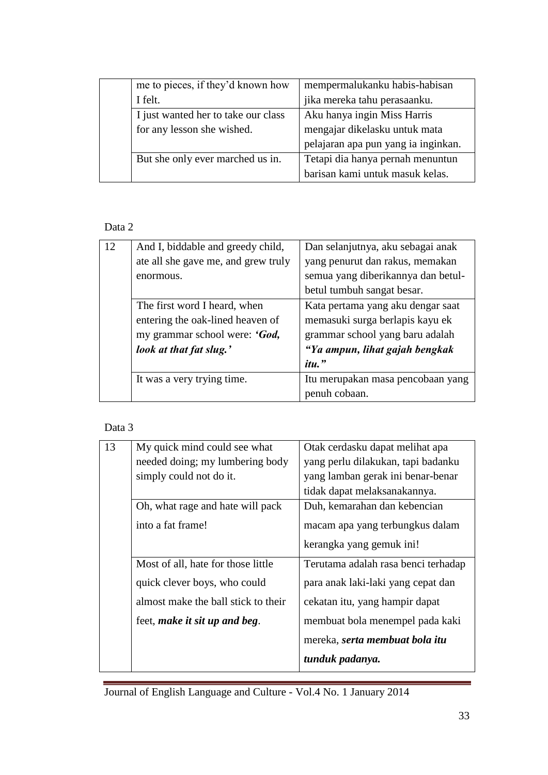| me to pieces, if they'd known how   | mempermalukanku habis-habisan       |
|-------------------------------------|-------------------------------------|
| I felt.                             | jika mereka tahu perasaanku.        |
| I just wanted her to take our class | Aku hanya ingin Miss Harris         |
| for any lesson she wished.          | mengajar dikelasku untuk mata       |
|                                     | pelajaran apa pun yang ia inginkan. |
| But she only ever marched us in.    | Tetapi dia hanya pernah menuntun    |
|                                     | barisan kami untuk masuk kelas.     |

# Data 2

| 12 | And I, biddable and greedy child,   | Dan selanjutnya, aku sebagai anak  |
|----|-------------------------------------|------------------------------------|
|    | ate all she gave me, and grew truly | yang penurut dan rakus, memakan    |
|    | enormous.                           | semua yang diberikannya dan betul- |
|    |                                     | betul tumbuh sangat besar.         |
|    | The first word I heard, when        | Kata pertama yang aku dengar saat  |
|    | entering the oak-lined heaven of    | memasuki surga berlapis kayu ek    |
|    | my grammar school were: 'God,       | grammar school yang baru adalah    |
|    | look at that fat slug.'             | "Ya ampun, lihat gajah bengkak     |
|    |                                     | itu."                              |
|    | It was a very trying time.          | Itu merupakan masa pencobaan yang  |
|    |                                     | penuh cobaan.                      |

# Data 3

| 13 | My quick mind could see what        | Otak cerdasku dapat melihat apa     |
|----|-------------------------------------|-------------------------------------|
|    | needed doing; my lumbering body     | yang perlu dilakukan, tapi badanku  |
|    | simply could not do it.             | yang lamban gerak ini benar-benar   |
|    |                                     | tidak dapat melaksanakannya.        |
|    | Oh, what rage and hate will pack    | Duh, kemarahan dan kebencian        |
|    | into a fat frame!                   | macam apa yang terbungkus dalam     |
|    |                                     | kerangka yang gemuk ini!            |
|    | Most of all, hate for those little  | Terutama adalah rasa benci terhadap |
|    | quick clever boys, who could        | para anak laki-laki yang cepat dan  |
|    | almost make the ball stick to their | cekatan itu, yang hampir dapat      |
|    | feet, make it sit up and beg.       | membuat bola menempel pada kaki     |
|    |                                     | mereka, serta membuat bola itu      |
|    |                                     | tunduk padanya.                     |